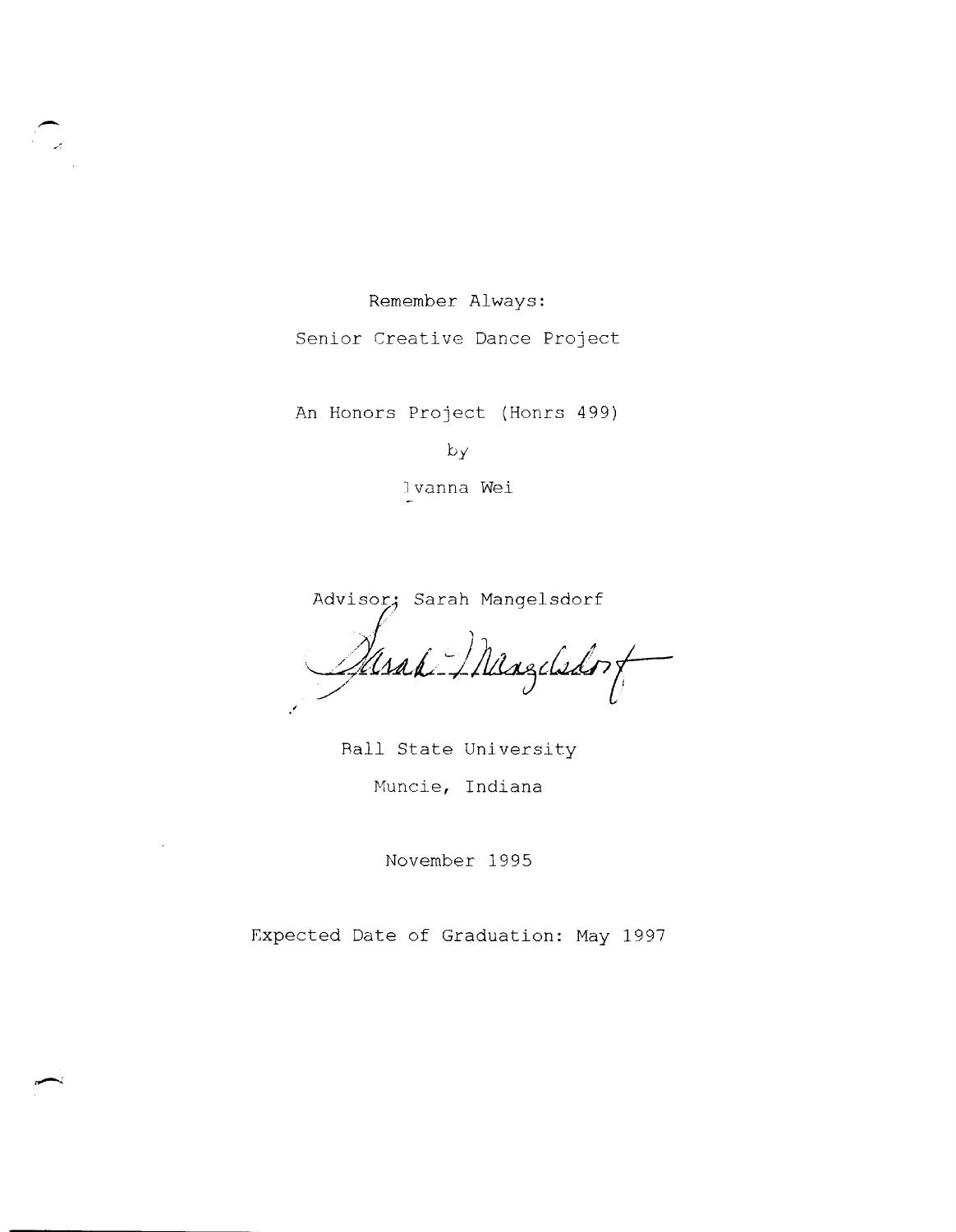Remember Always:

--

Senior Creative Dance Project

An Honors Project (Honrs 499)

 $b_y$ 

l vanna Wei

Advisor; Sarah Mangelsdorf Maak Mangelsdorf

RaIl State University Huncie, Indiana

November 1995

Expected Date of Graduation: May 1997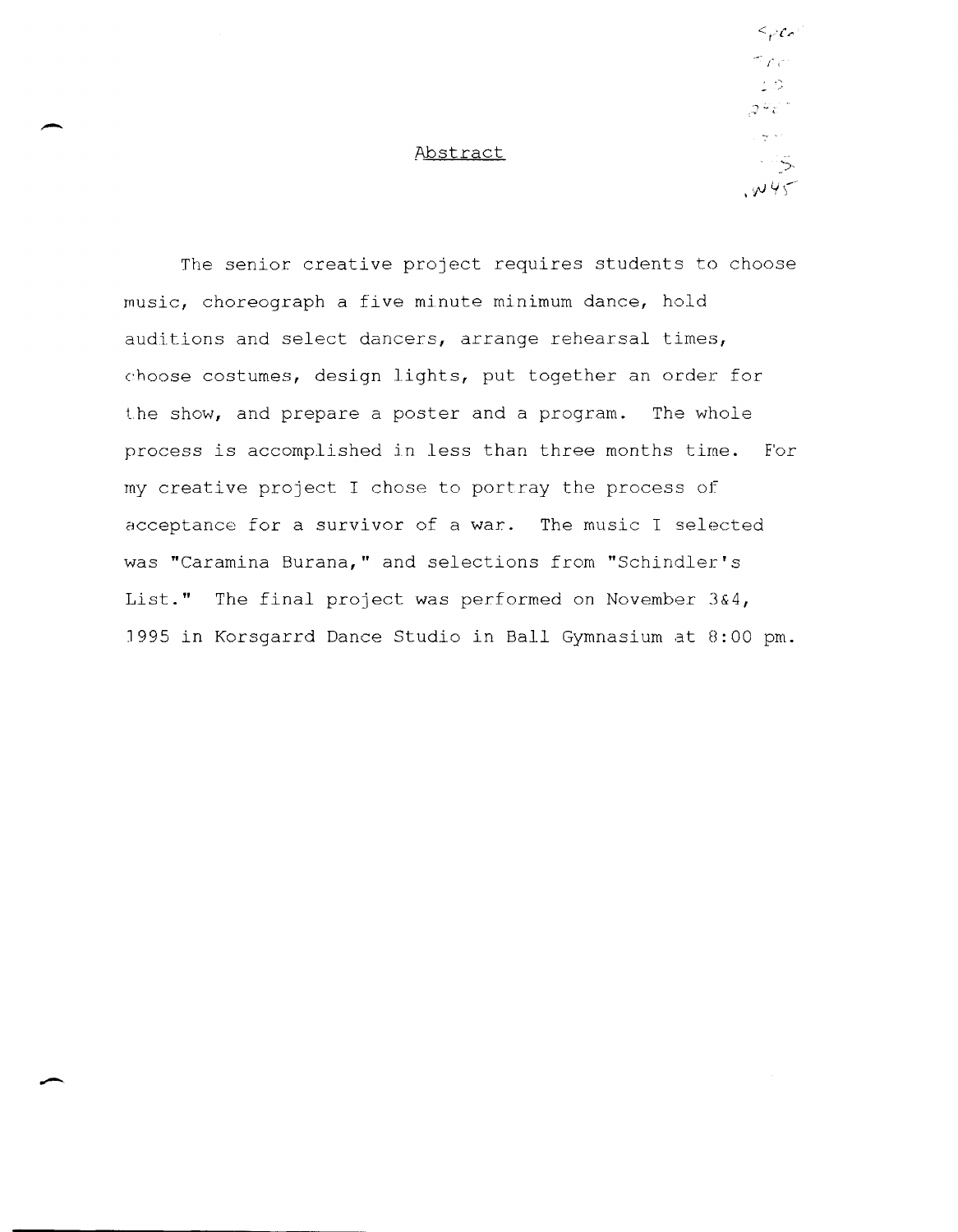# - Abstract

 $\leq$ pco  $\gamma_{\mu\tau}$  $\mathcal{L} \, \mathcal{Q}$ ూ చేస  $\omega_{\rm{eff}} \propto \tau$  $\sim$  5.  $. \omega$ 45

The senior creative project requires students to choose music, choreograph a five minute minimum dance, hold auditions and select dancers, arrange rehearsal times, choose costumes, design lights, put together an order for the show, and prepare a poster and a program. The whole process is accomplished in less than three months time. For my creative project I chose to portray the process of acceptance for a survivor of a war. The music I selected was "Caramina Burana," and selections from "Schindler's **List."** The final project was performed on November 3&4, J995 in Korsgarrd Dance Studio in Ball Gymnasium at 0:00 **pm.**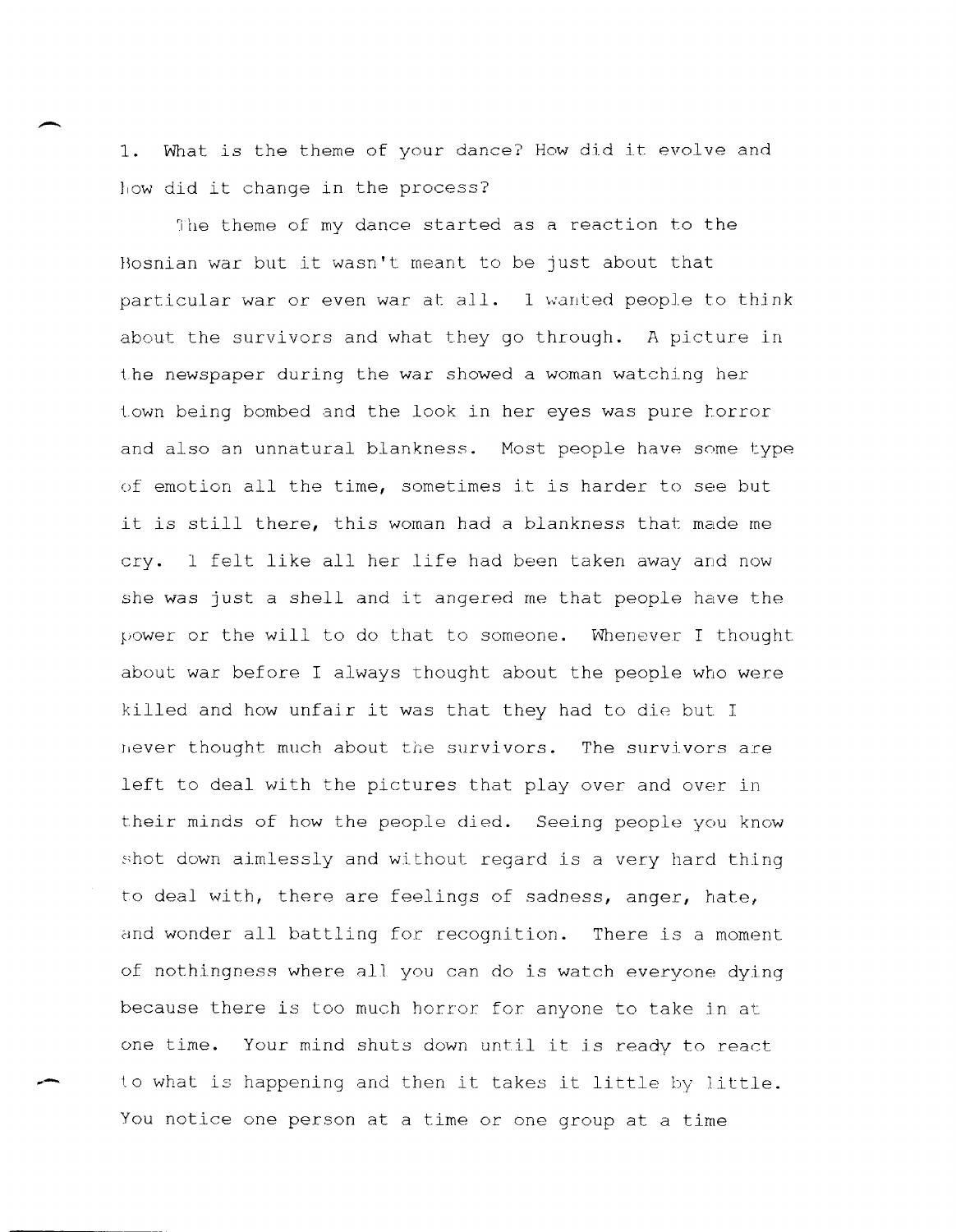- 1. What is the theme of your dance? How did *it* evolve and how did it change in the process?

The theme of my dance started as a reaction to the Bosnian war but it wasn't meant to be just about that particular war or even war at all. I wanted people to think about the survivors and what they go through. A picture in the newspaper during the war showed a woman watching her town being bombed and the look in her eyes was pure forror and also an unnatural blankness. Most people have some type of emotion all the time, sometimes it is harder to see but it is still there, this woman had a blankness that made me cry. 1 felt like all her life had been taken away and now she was just a shell and it angered me that people have the power or the will to do that to someone. Whenever I thought about war before I always thought about the people who were killed and how unfair it was that they had to die but I Hever thought much about the survivors. The survivors are left to deal with the pictures that play over and over in their minds of how the people died. Seeing people you know shot down aimlessly and without regard is a very hard thing to deal with, there are feelings of sadness, anger, hate, and wonder all battling for recognition. There is a moment of nothingness where all you can do is watch everyone dying because there is too much horror for anyone to take in at one time. Your mind shuts down until it is ready to react **... -** to what is happening and then it takes it little by little. You notice one person at a time or one group at a time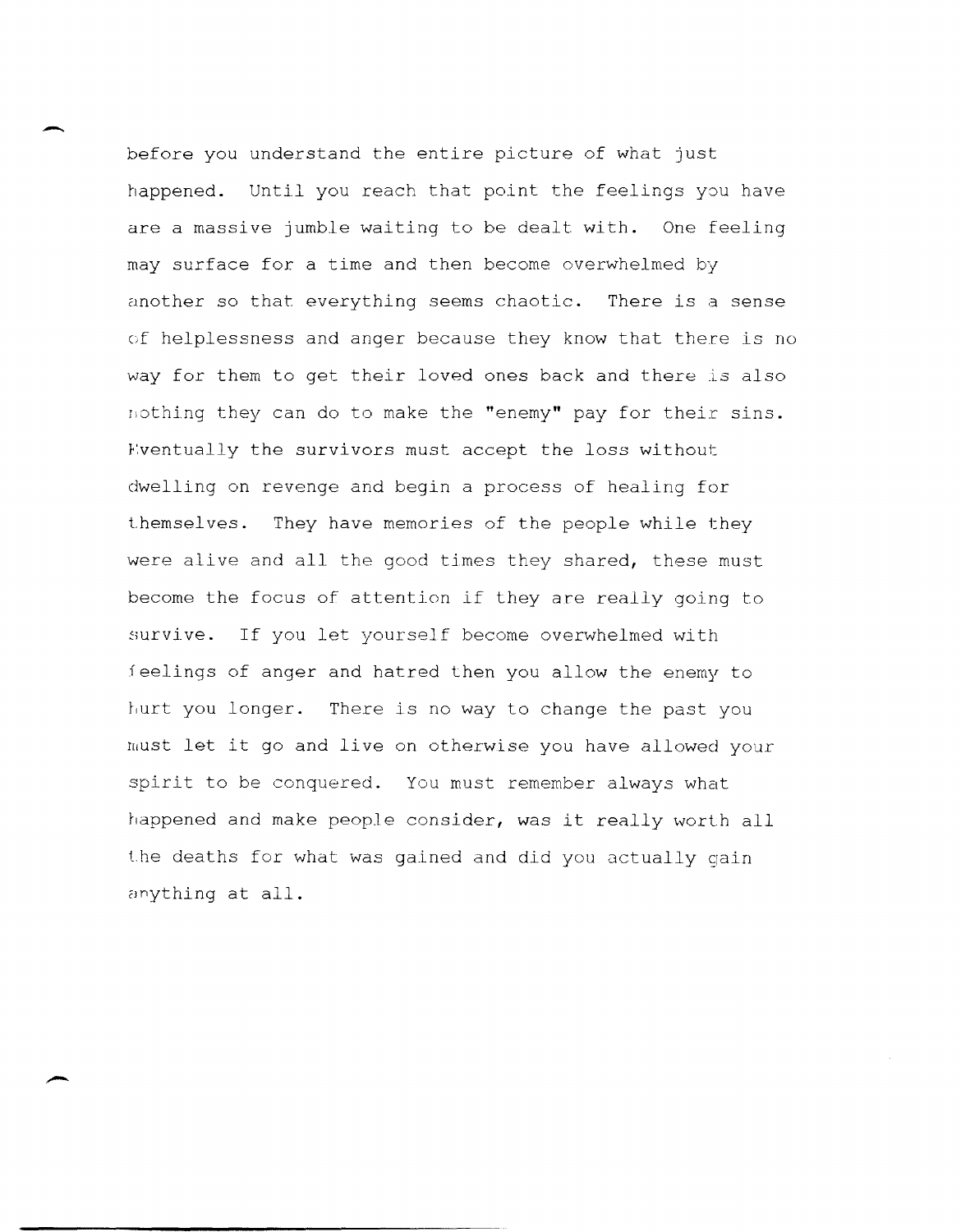before you understand the entire picture of what just happened. Until you reach that point the feelings you have are a massive jumble waiting to be dealt with. One feeling may surface for a time and then become overwhelmed by another so that everything seems chaotic. There is a sense of helplessness and anger because they know that there is no way for them to get their loved ones back and there is also nothing they can do to make the "enemy" pay for their sins. Eventually the survivors must accept the loss without dwelling on revenge and begin a process of healing for themselves. They have memories of the people while they were alive and all the good times they shared, these must become the focus of attention if they are really going to survive. If you let yourself become overwhelmed with feelings of anger and hatred then you allow the enemy to hurt you longer. There is no way to change the past you ruust let it go and live on otherwise you have allowed your spirit to be conquered. You must remember always what happened and make people consider, was it really worth all the deaths for what was gained and did you actually gain anything at all.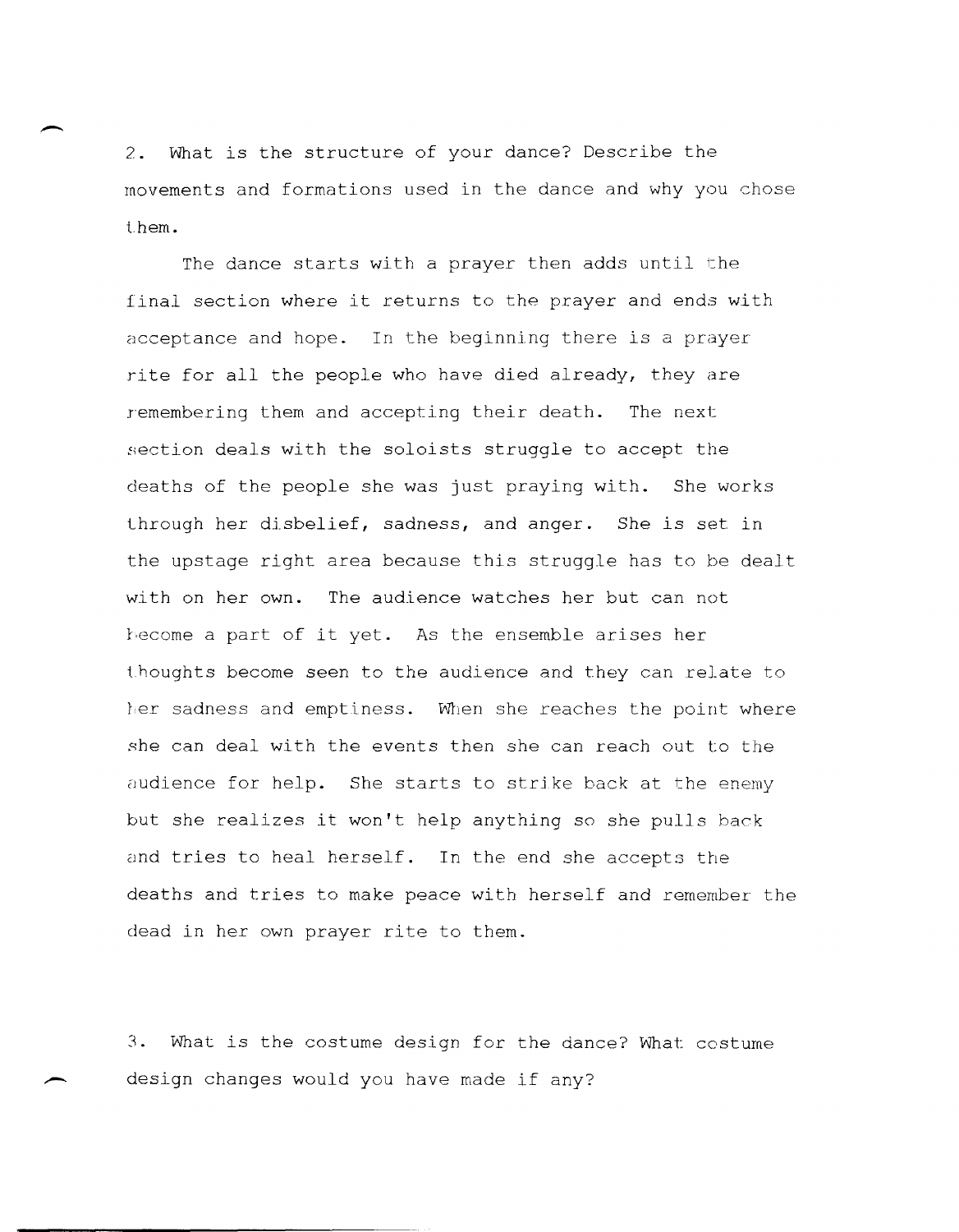2. What is the structure of your dance? Describe the rnovements and formations used in the dance and why you chose them.

The dance starts with a prayer then adds until the final section where it returns to the prayer and ends with acceptance and hope. In the beginning there is a prayer rite for all the people who have died already, they are remembering them and accepting their death. The next section deals with the soloists struggle to accept the deaths of the people she was just praying with. She works lhrough her disbelief, sadness, and anger. She is set in the upstage right area because this struggle has to be dealt with on her own. The audience watches her but can not hecome a part of it yet. As the ensemble arises her thoughts become seen to the audience and they can relate to her sadness and emptiness. When she reaches the point where she can deal with the events then she can reach out to the audience for help. She starts to strike back at the enemy but she realizes it won't help anything so she pulls back and tries to heal herself. In the end she accepts the deaths and tries to make peace with herself and remember the dead in her own prayer rite to them.

**3.** What is the costume design for the dance? What costume design changes would you have made if any?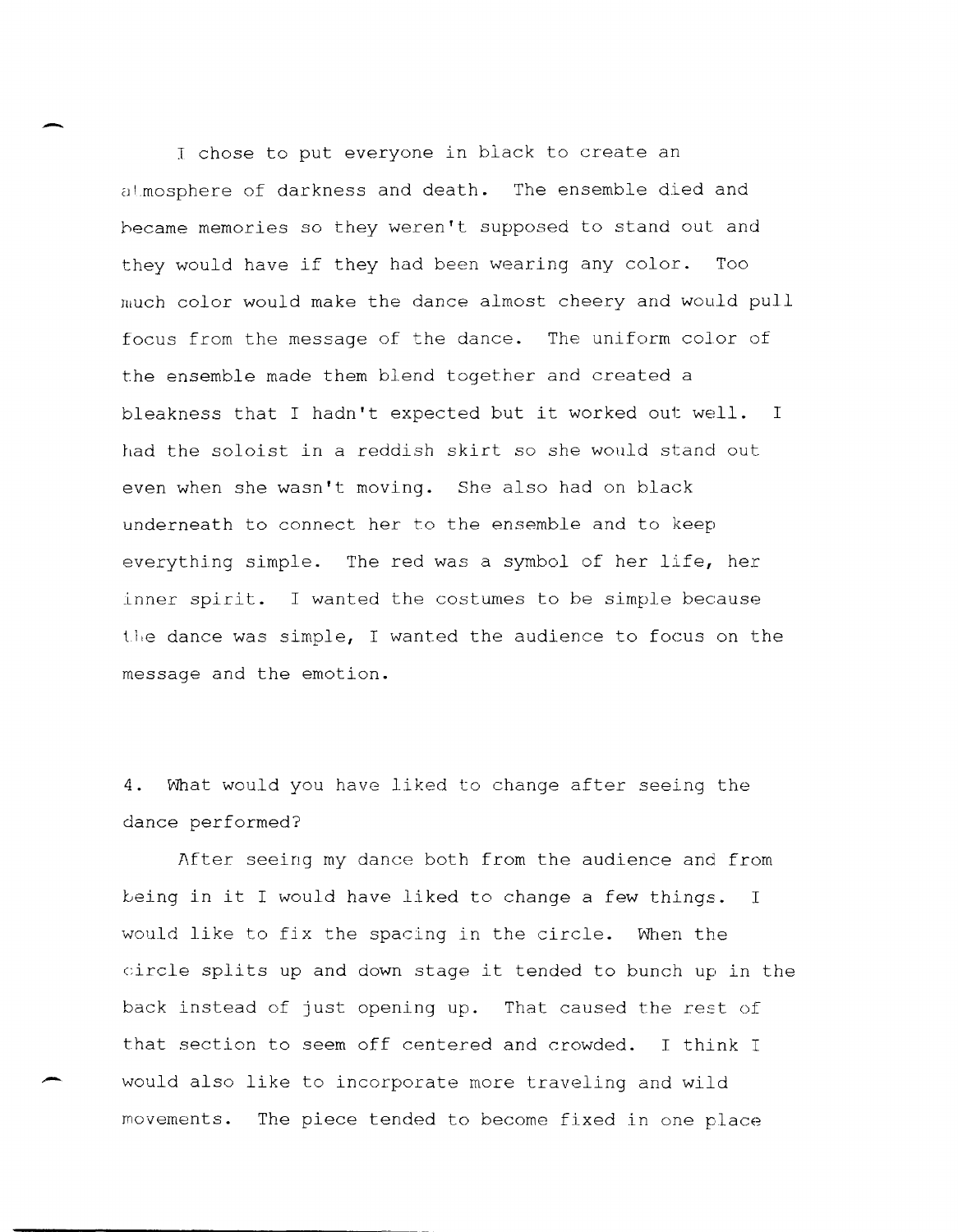<sup>I</sup>chose to put everyone in black to create an at mosphere of darkness and death. The ensemble died and hecame memories so they weren't supposed to stand out and they would have if they had been wearing any color. Too much color would make the dance almost cheery and would pull focus from the message of the dance. The uniform color of the ensemble made them blend together and created a bleakness that I hadn't expected but it worked out well. <sup>I</sup> had the soloist in a reddish skirt so she would stand out even when she wasn't moving. She also had on black underneath to connect her to the ensemble and to keep everything simple. The red was a symbol of her life, her inner spirit. I wanted the costumes to be simple because the dance was simple, I wanted the audience to focus on the message and the emotion.

 $\overline{\phantom{a}}$ 

-

**4.** What would you have liked to change after seeing the dance performed?

After seeing my dance both from the audience and from being in it I would have liked to change a few things. I would like to fix the spacing in the circle. When the circle splits up and down stage it tended to bunch up in the back instead of just opening up. That caused the rest of that section to seem off centered and crowded. I think <sup>I</sup> would also like to incorporate more traveling and wild movements. The piece tended to become fixed in one place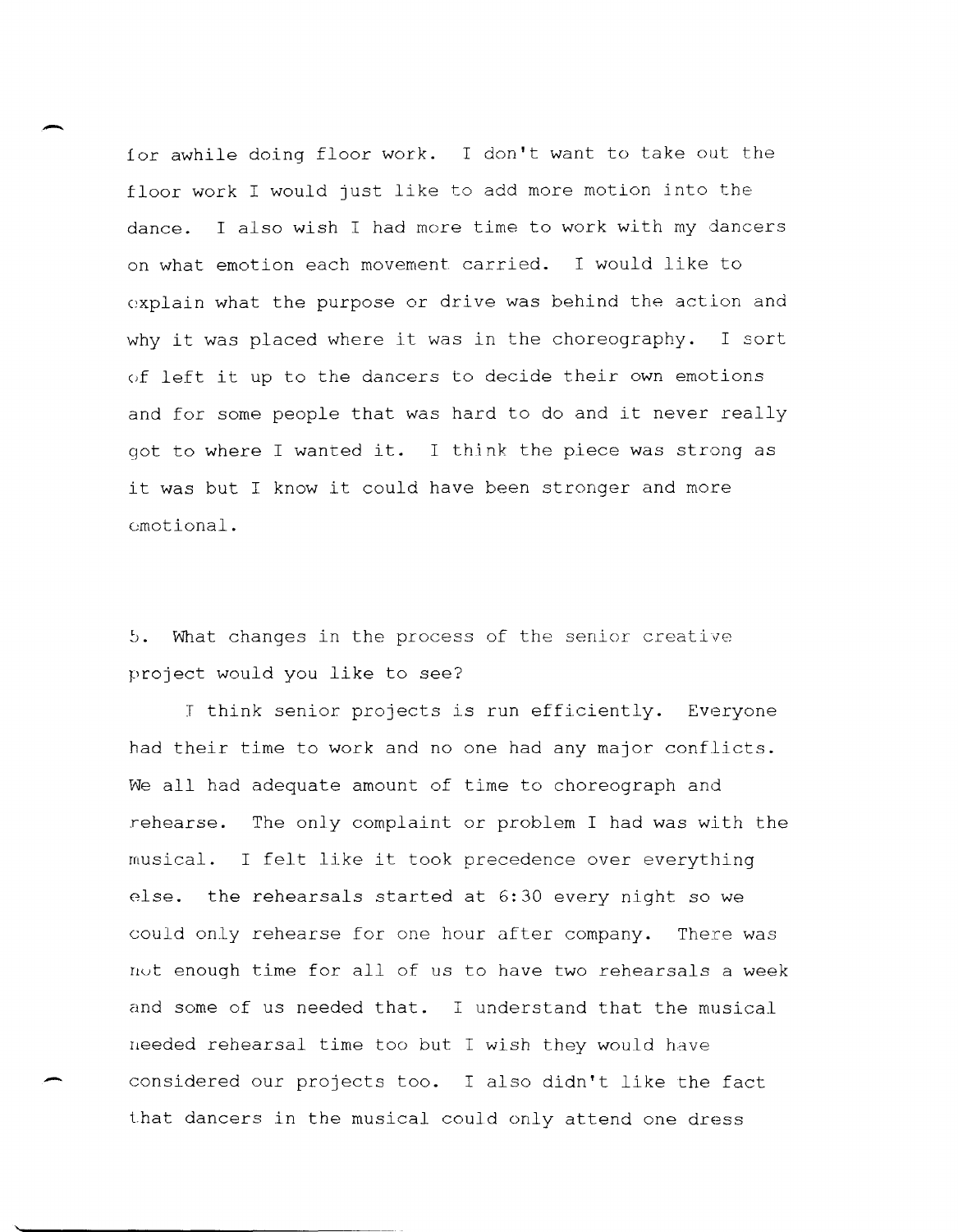for awhile doing floor work. I don't want to take out the floor work I would just like to add more motion into the dance. I also wish I had more time to work with my dancers on what emotion each movement carried. I would like to explain what the purpose or drive was behind the action and why it was placed where it was in the choreography. I sort *(if* left it up to the dancers to decide their own emotions and for some people that was hard to do and it never really got to where I wanted it. I think the piece was strong as it was but I know it could have been stronger and more emotional.

-

-

5. What changes in the process of the senior creative project would you like to see?

J think senior projects is run efficiently. Everyone had their time to work and no one had any major conflicts. We all had adequate amount of time to choreograph and rehearse. The only complaint or problem I had was with the musical. I felt like it took precedence over everything else. the rehearsals started at 6:30 every night so we could only rehearse for one hour after company. There was nut enough time for all of us to have two rehearsals a week and some of us needed that. I understand that the musical needed rehearsal time too but I wish they would have considered our projects too. I also didn't like the fact i.hat dancers in the musical could only attend one dress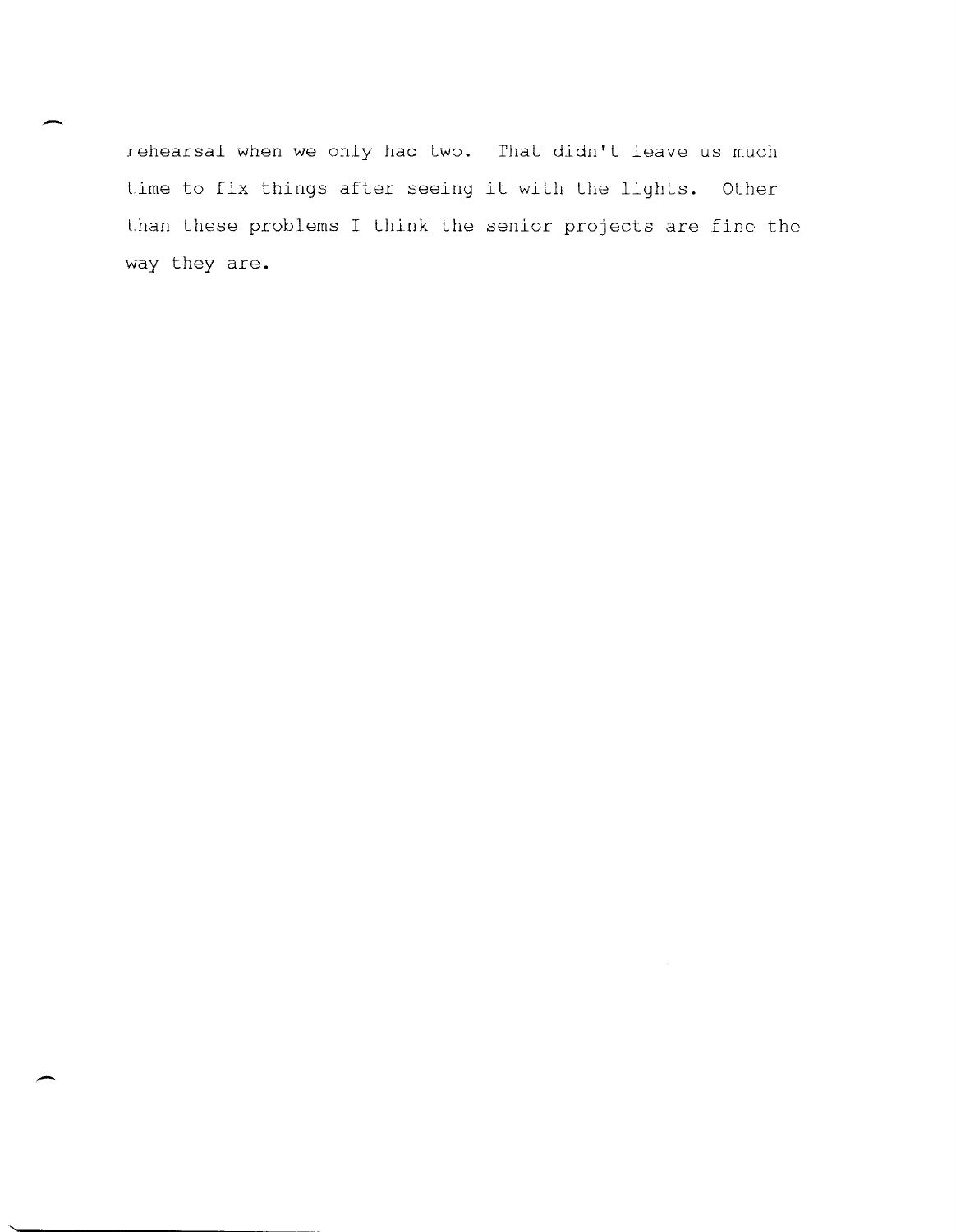rehearsal when we only had two. That didn't leave us much time to fix things after seeing it with the lights. Other than these problems I think the senior projects are fine the way they are.

-

**. -**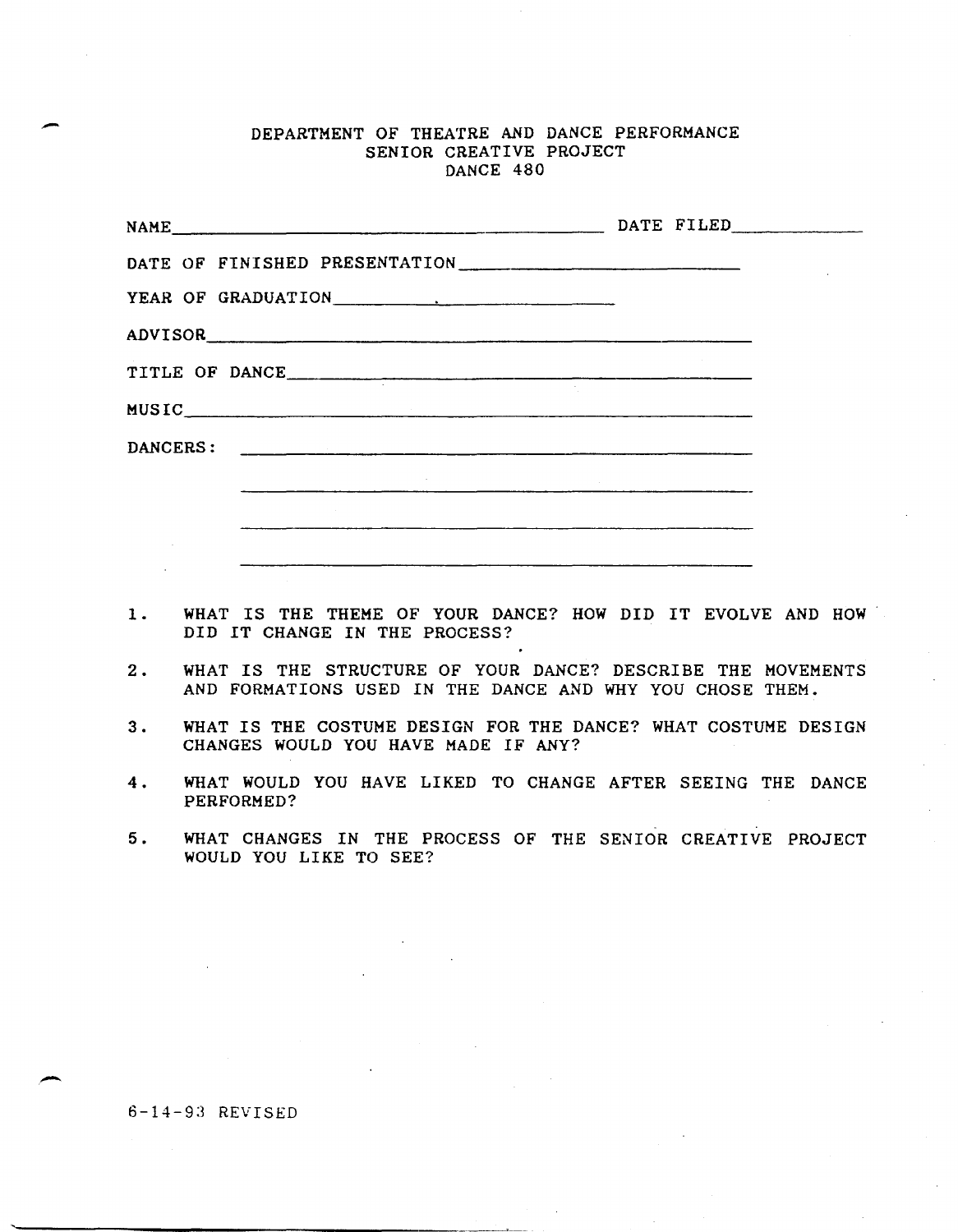## DEPARTMENT OF THEATRE AND DANCE PERFORMANCE SENIOR CREATIVE PROJECT DANCE 480

| YEAR OF GRADUATION RESERVE AND RESERVE AND RESERVE AND RESERVE AND RESERVE AND RESERVE AND RESERVE AND RESERVE AND RESERVE AND RESERVE AND RESERVE AND RESERVE AND RESPONDING A MODEL OF A STRIKE AND RESPONDING A MODEL OF A |  |  |
|-------------------------------------------------------------------------------------------------------------------------------------------------------------------------------------------------------------------------------|--|--|
|                                                                                                                                                                                                                               |  |  |
| TITLE OF DANCE                                                                                                                                                                                                                |  |  |
| MUSIC                                                                                                                                                                                                                         |  |  |
|                                                                                                                                                                                                                               |  |  |
|                                                                                                                                                                                                                               |  |  |
| <u> 1980 - Andrea San Andrea Stadt and an t-Andrea Stadt and an ann an t-Andrea Stadt ann an Aonaichte ann an 19</u>                                                                                                          |  |  |
| <u>a kanang taun ng pagpagang pang pangangan ng pagpagang pangang pangang pangang pangang pangang pangang pang</u>                                                                                                            |  |  |

- 1. WHAT IS THE THEME OF YOUR DANCE? HOW DID IT EVOLVE AND HOW· DID IT CHANGE IN THE PROCESS?
- 2. WHAT IS THE STRUCTURE OF YOUR DANCE? DESCRIBE THE MOVEMENTS AND FORMATIONS USED IN THE DANCE AND WHY YOU CHOSE THEM.
- 3. WHAT IS THE COSTUME DESIGN FOR THE DANCE? WHAT COSTUME DESIGN CHANGES WOULD YOU HAVE MADE IF ANY?
- 4. WHAT WOULD YOU HAVE LIKED TO CHANGE AFTER SEEING THE DANCE PERFORMED?
- 5. WHAT CHANGES IN THE PROCESS OF THE SENIOR CREATIVE PROJECT WOULD YOU LIKE TO SEE?

6-14-9:3 REVISED

-

-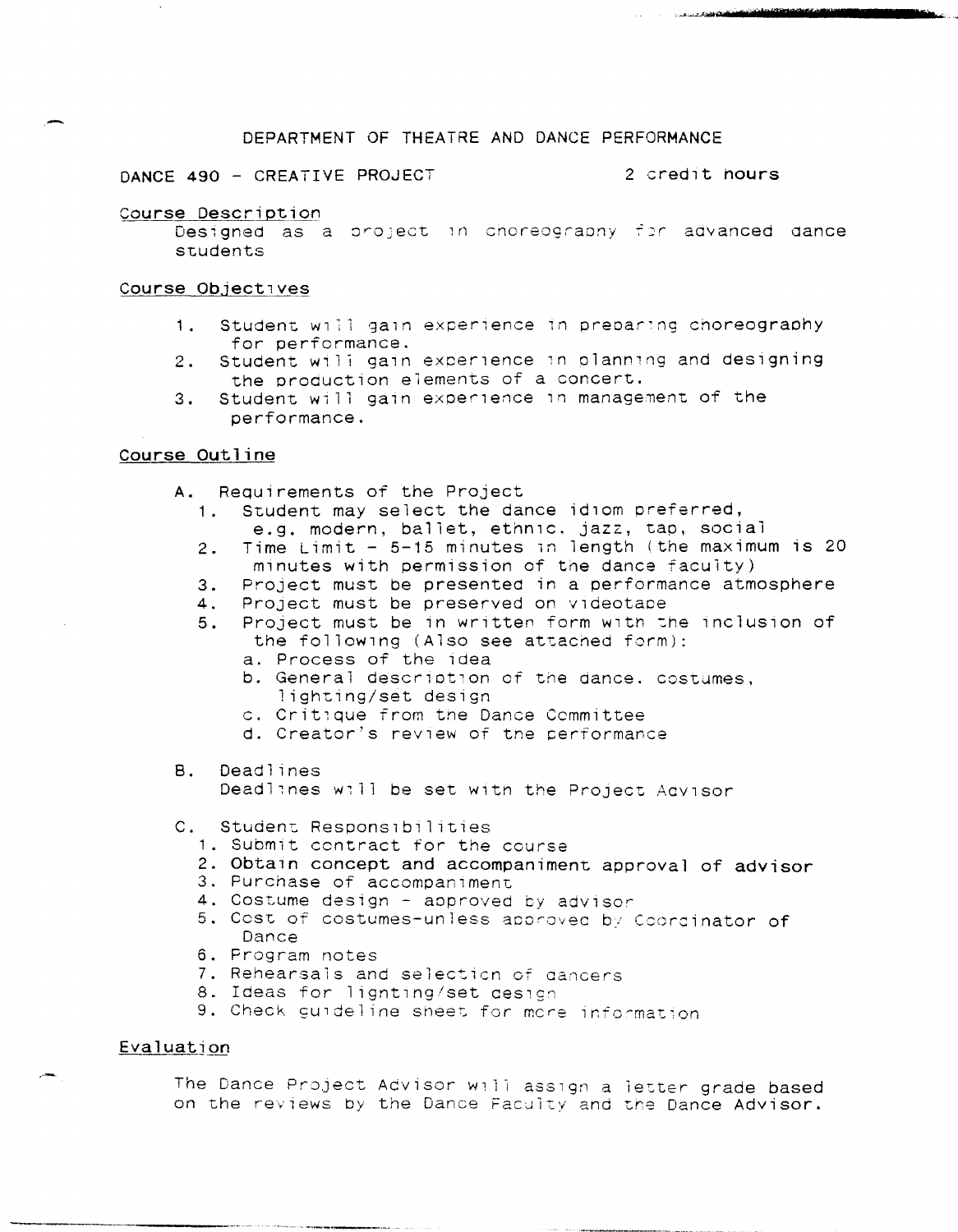#### DEPARTMENT OF THEATRE AND DANCE PERFORMANCE

DANCE 490 - CREATIVE PROJECT 2 credit nours

.... \_"'-"\_ ... ¢ 1iIoiI\* **iIlIrtlliilclliiif'lIrrIiiP.rMe.<sup>s</sup>**

**l!i' = \_\_\_\_\_\_ .......** <sup>~</sup>

#### Course Description

Designed as a project in choreography for advanced dance students

#### Course Objectives

- 1. Student will gain experience in preparing choreography<br>for performance.
- 2. Student will gain experience in planning and designing the production elements of a concert.
- 3. Student. will gain exper1ence In management of the performance.

## Course Outline

- A. Requirements of the Project
	- 1 Student may select the dance idlom preferred, e.g. modern, ballet, ethnlc. jazz, tap, social
	- 2 . Time Limit - 5-15 minutes in length (the maximum is 20 minutes with permission of the dance faculty)
	- 3. Project must be presented in a performance atmosphere
	- 4. Project must be preserved on videotape
	- 5 . Project must be in written form with the inclusion of the following (Also see attached form):
		- a. Process of the idea
		- b. General description of the dance. costumes, lighting/set design
		- c. Crit,que from tne Dance Committee
		- d. Creator's review of the performance
- B. Deadlines Deadlines will be set with the Project Aavisor
- C. Student Responsibilities
	- 1. Submit contract for the course
	- 2. Obtain concept and accompaniment approval of advisor
	- 3. Purchase of accompaniment
	- 4. Costume design approved by advisor
	- 5. Cost of costumes-unless approved by Ccordinator of Dance
	- 6. Program notes
	- 7. Rehearsals and selecticn of cancers
	- 8. Ideas for lignting/set design
	- 9. Check guideline sheet for more information

## Evaluation

The Dance Project Advisor will assign a letter grade based on the reviews by the Dance Faculty and the Dance Advisor.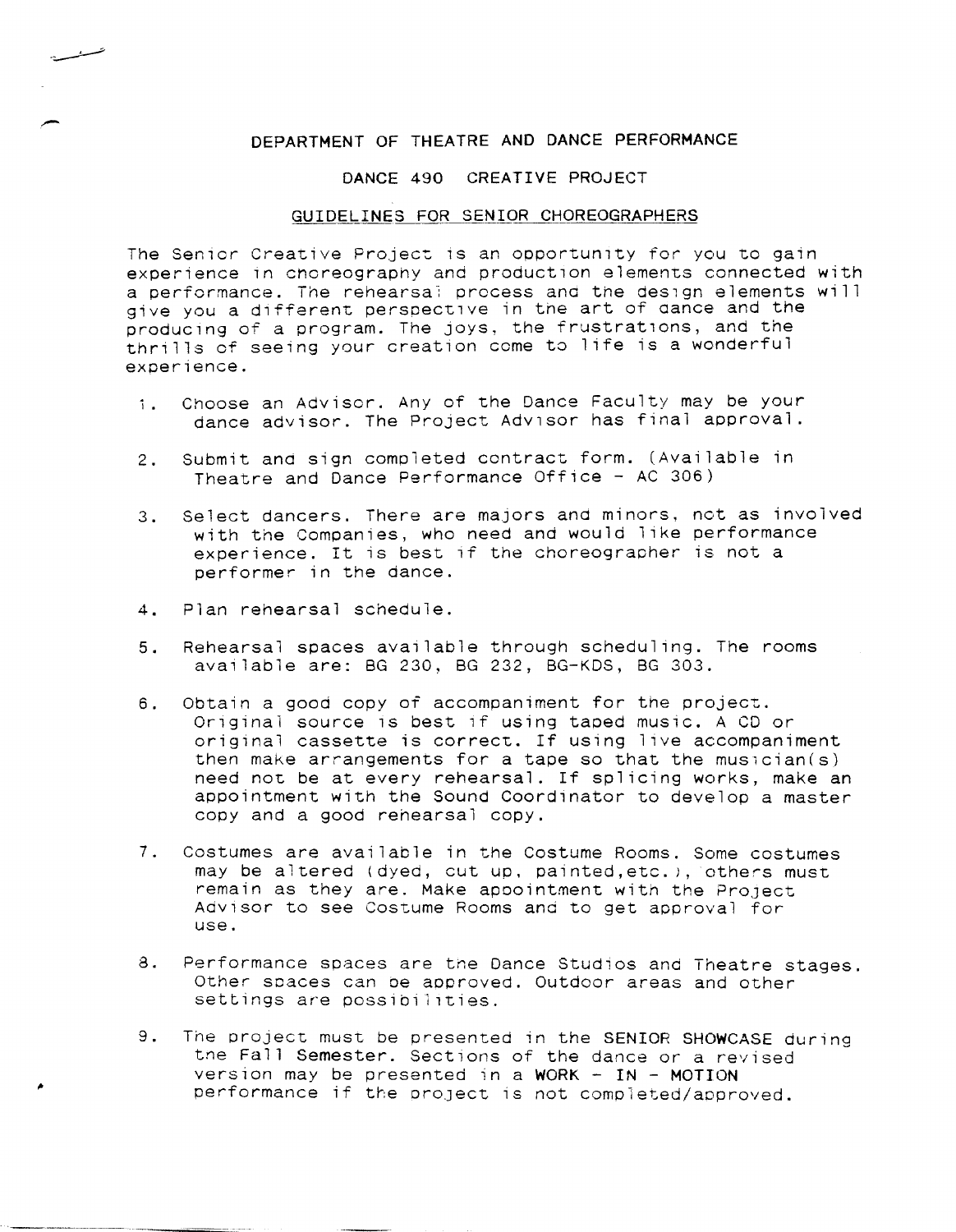# DEPARTMENT OF THEATRE AND DANCE PERFORMANCE

#### DANCE 490 CREATIVE PROJECT

#### GUIDELINES FOR SENIOR CHOREOGRAPHERS

The Senior Creative Project is an opportunity for you to gain experience in choreography and production elements connected with a performance. The rehearsal process and the design elements will give you a different perspective in the art of dance and the producing of a program. The joys, the frustrations, and the thrills of seeing your creation come to life is a wonderful experience.

- 1. Choose an Advisor. Any of the Dance Faculty may be your dance advisor. The Project Adv1sor has final approval.
- 2. Submit and sign completed contract form. (Available in Theatre and Dance Performance Office - AC 306)
- 3. Select dancers. There are majors and minors, not as involved with the Companies, who need and would like performance experience. It is best if the choreographer is not a performer in the dance.
- 4. Plan rehearsal schedule.

تسسسشسد

- 5. Rehearsal spaces available through scheduling. The rooms available are: BG 230, BG 232, BG-KDS, BG 303.
- 6. Obtain a good copy of accompaniment for the project. Original source is best if using taped music. A CD or original cassette is correct. If using live accompaniment then make arrangements for a tape so that the musician(s) need not be at every rehearsal. If splicing works, make an appointment with the Sound Coordinator to develop a master copy and a good rehearsal copy.
- 7. Costumes are available in the Costume Rooms. Some costumes may be altered (dyed, cut up, painted,etc.), others must remain as they are. Make apoointment with the Project Advisor to see Costume Rooms and to get approval for use.
- 8. Performance spaces are the Dance Studios and Theatre stages. Other spaces can oe approved. Outdoor areas and other settings are possibilities.
- 9. The project must be presented in the SENIOR SHOWCASE during the Fall Semester. Sections of the dance or a revised version may be presented in a WORK  $-$  IN - MOTION performance if the project is not completed/approved.